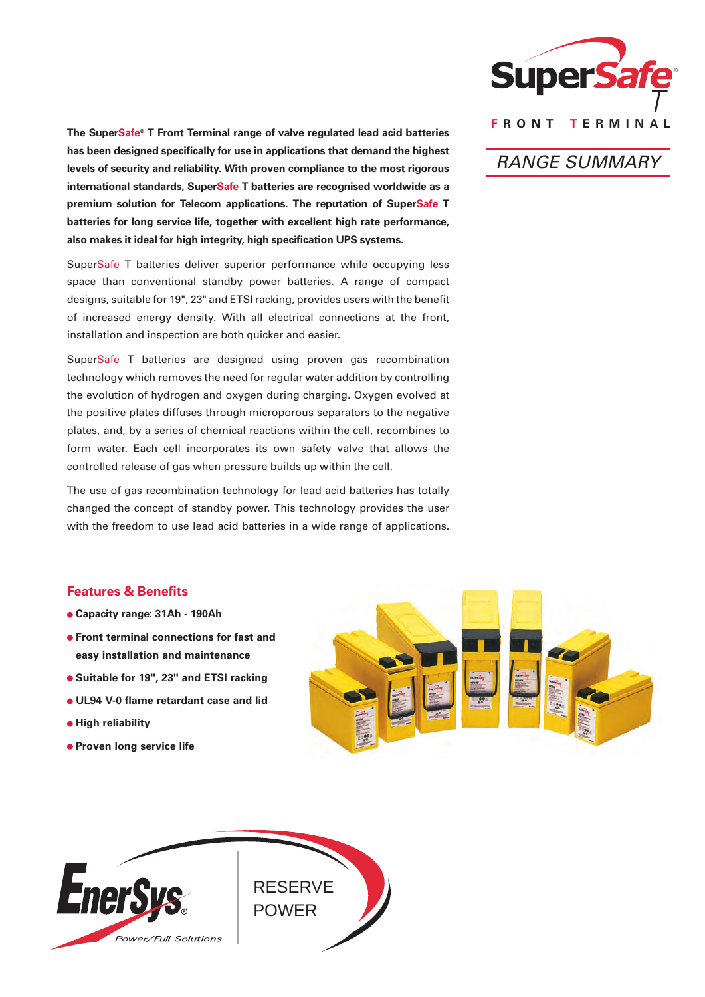

**The SuperSafe® T Front Terminal range of valve regulated lead acid batteries has been designed specifically for use in applications that demand the highest levels of security and reliability. With proven compliance to the most rigorous international standards, SuperSafe T batteries are recognised worldwide as a premium solution for Telecom applications. The reputation of SuperSafe T batteries for long service life, together with excellent high rate performance, also makes it ideal for high integrity, high specification UPS systems.**

SuperSafe T batteries deliver superior performance while occupying less space than conventional standby power batteries. A range of compact designs, suitable for 19", 23" and ETSI racking, provides users with the benefit of increased energy density. With all electrical connections at the front, installation and inspection are both quicker and easier.

SuperSafe T batteries are designed using proven gas recombination technology which removes the need for regular water addition by controlling the evolution of hydrogen and oxygen during charging. Oxygen evolved at the positive plates diffuses through microporous separators to the negative plates, and, by a series of chemical reactions within the cell, recombines to form water. Each cell incorporates its own safety valve that allows the controlled release of gas when pressure builds up within the cell.

The use of gas recombination technology for lead acid batteries has totally changed the concept of standby power. This technology provides the user with the freedom to use lead acid batteries in a wide range of applications.

# RANGE SUMMARY

### **Features & Benefits**

- **Capacity range: 31Ah 190Ah**
- **Front terminal connections for fast and easy installation and maintenance**
- **Suitable for 19", 23" and ETSI racking**
- **UL94 V-0 flame retardant case and lid**
- $\bullet$  **High reliability**
- **Proven long service life**